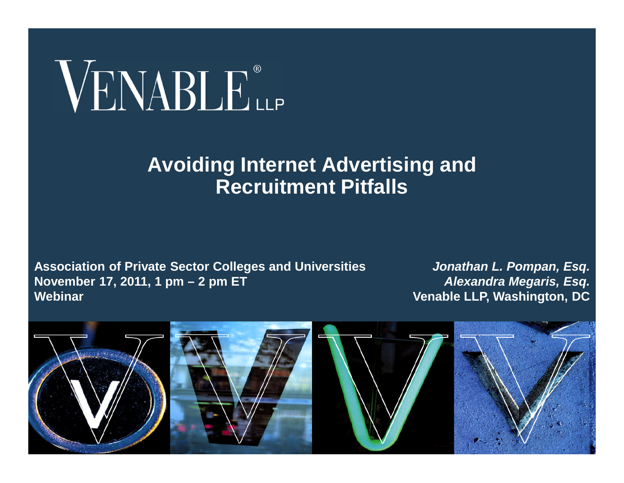# VENABLE®

#### **Avoiding Internet Advertising and Recruitment Pitfalls**

**Association of Private Sector Colleges and Universities November 17, 2011, 1 pm – 2 pm ET Webinar**

*Jonathan L. Pompan, Esq. Alexandra Megaris, Esq.* **Venable LLP, Washington, DC**

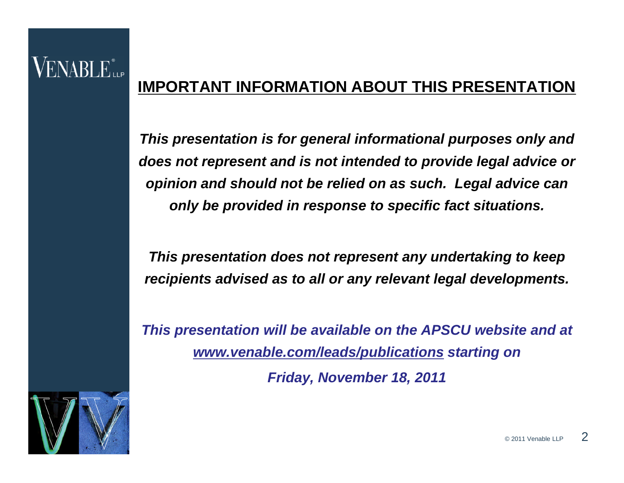#### **IMPORTANT INFORMATION ABOUT THIS PRESENTATION**

*This presentation is for general informational purposes only and does not represent and is not intended to provide legal advice or opinion and should not be relied on as such. Legal advice can only be provided in response to specific fact situations.*

*This presentation does not represent any undertaking to keep recipients advised as to all or any relevant legal developments.*

*This presentation will be available on the APSCU website and at www.venable.com/leads/publications starting on*

*Friday, November 18, 2011*



VENABLE"...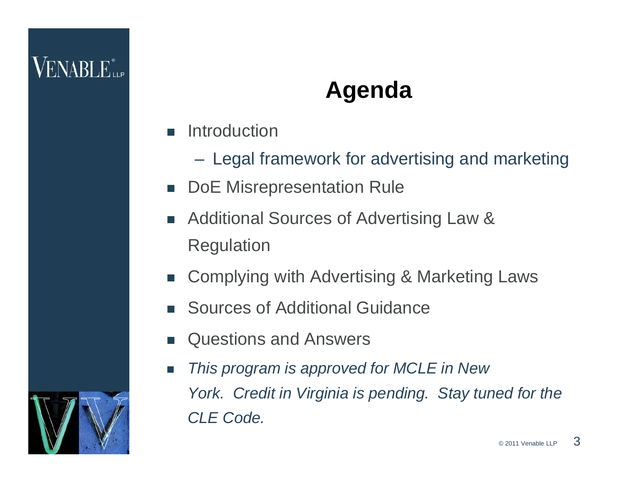## **Agenda**

- **n** Introduction
	- Legal framework for advertising and marketing
- **DoE Misrepresentation Rule**
- Additional Sources of Advertising Law & Regulation
- Complying with Advertising & Marketing Laws
- Sources of Additional Guidance
- Questions and Answers
- *This program is approved for MCLE in New York. Credit in Virginia is pending. Stay tuned for the CLE Code.*

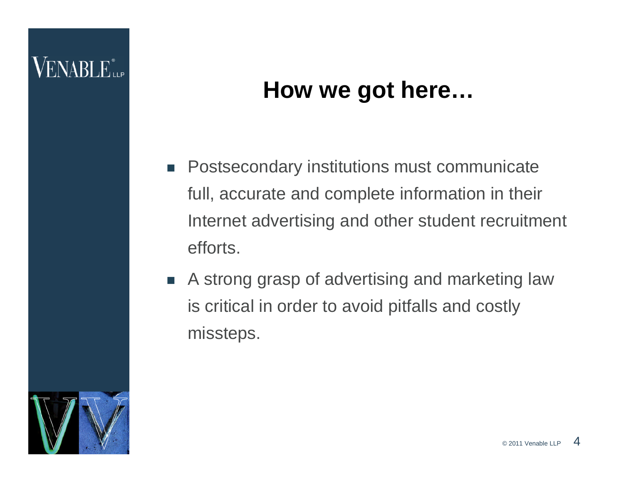## **How we got here…**

- **Postsecondary institutions must communicate** full, accurate and complete information in their Internet advertising and other student recruitment efforts.
- A strong grasp of advertising and marketing law is critical in order to avoid pitfalls and costly missteps.

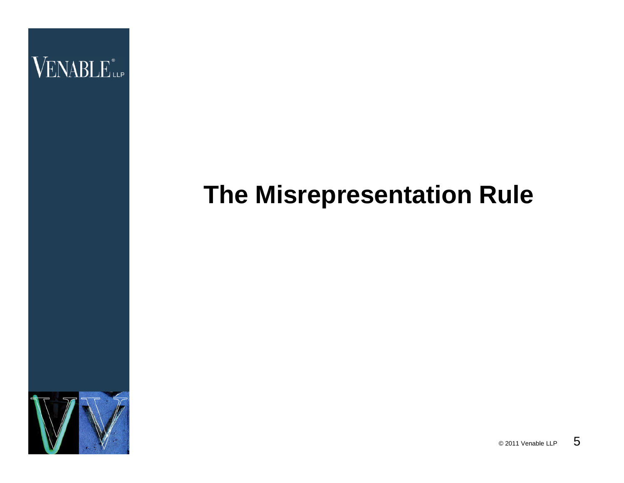

# **The Misrepresentation Rule**



 $\circ$  2011 Venable LLP 5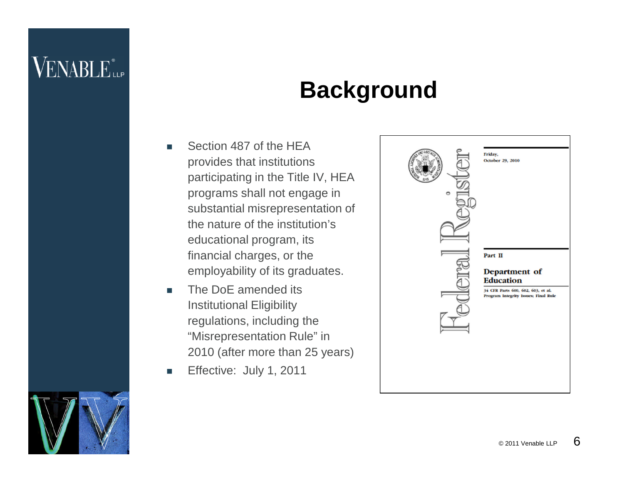## **Background**

- Section 487 of the HEA provides that institutions participating in the Title IV, HEA programs shall not engage in substantial misrepresentation of the nature of the institution's educational program, its financial charges, or the employability of its graduates.
- The DoE amended its Institutional Eligibility regulations, including the "Misrepresentation Rule" in 2010 (after more than 25 years)
- Effective: July 1, 2011



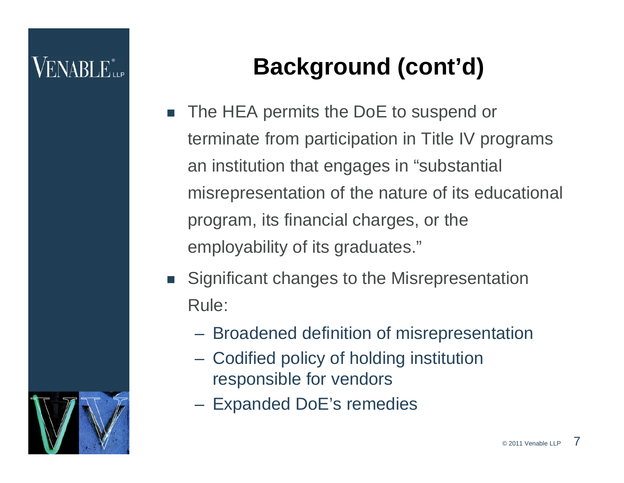# **Background (cont'd)**

- The HEA permits the DoE to suspend or terminate from participation in Title IV programs an institution that engages in "substantial misrepresentation of the nature of its educational program, its financial charges, or the employability of its graduates."
- Significant changes to the Misrepresentation Rule:
	- Broadened definition of misrepresentation
	- Codified policy of holding institution responsible for vendors
	- Expanded DoE's remedies

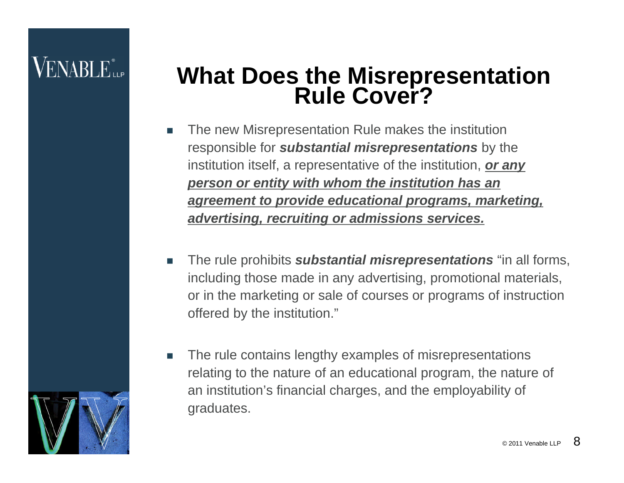## **What Does the Misrepresentation Rule Cover?**

- The new Misrepresentation Rule makes the institution responsible for *substantial misrepresentations* by the institution itself, a representative of the institution, *or any person or entity with whom the institution has an agreement to provide educational programs, marketing, advertising, recruiting or admissions services.*
- **The rule prohibits** *substantial misrepresentations* "in all forms, including those made in any advertising, promotional materials, or in the marketing or sale of courses or programs of instruction offered by the institution."
- The rule contains lengthy examples of misrepresentations relating to the nature of an educational program, the nature of an institution's financial charges, and the employability of graduates.

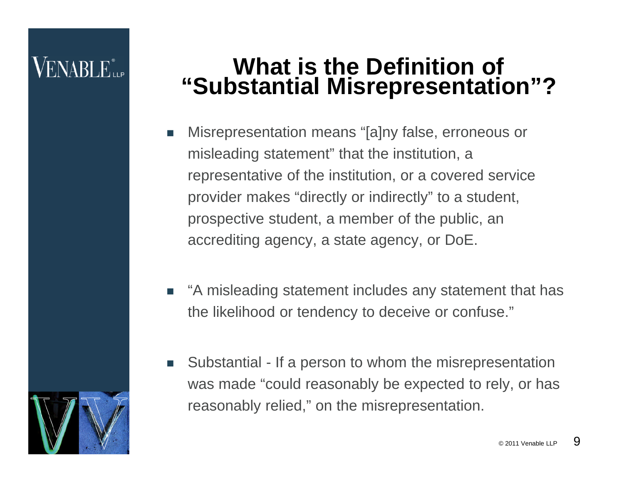# ENABLE...

## **What is the Definition of "Substantial Misrepresentation"?**

- Misrepresentation means "[a]ny false, erroneous or misleading statement" that the institution, a representative of the institution, or a covered service provider makes "directly or indirectly" to a student, prospective student, a member of the public, an accrediting agency, a state agency, or DoE.
- "A misleading statement includes any statement that has the likelihood or tendency to deceive or confuse."
- Substantial If a person to whom the misrepresentation was made "could reasonably be expected to rely, or has reasonably relied," on the misrepresentation.

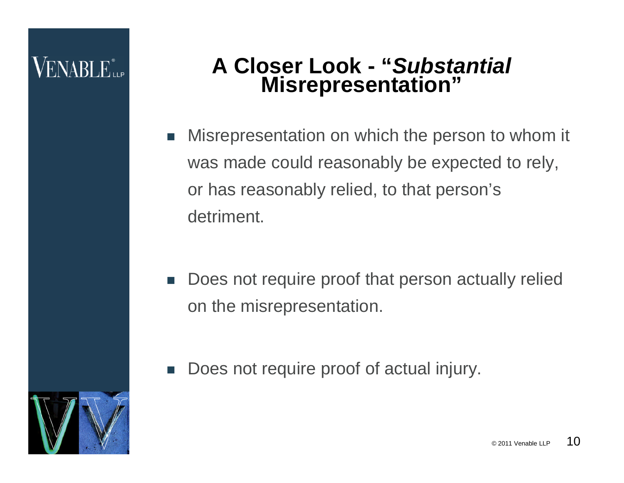#### **A Closer Look - "***Substantial* **Misrepresentation"**

- Misrepresentation on which the person to whom it was made could reasonably be expected to rely, or has reasonably relied, to that person's detriment.
- Does not require proof that person actually relied on the misrepresentation.
- Does not require proof of actual injury.

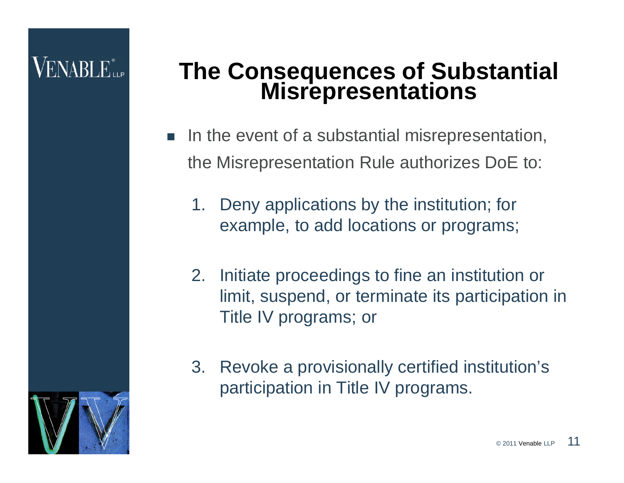# ENABLE...

## **The Consequences of Substantial Misrepresentations**

- In the event of a substantial misrepresentation, the Misrepresentation Rule authorizes DoE to:
	- 1. Deny applications by the institution; for example, to add locations or programs;
	- 2. Initiate proceedings to fine an institution or limit, suspend, or terminate its participation in Title IV programs; or
	- 3. Revoke a provisionally certified institution's participation in Title IV programs.

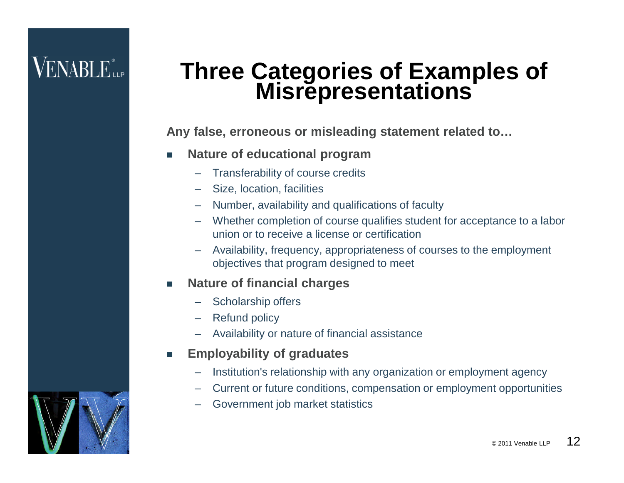## **Three Categories of Examples of Misrepresentations**

**Any false, erroneous or misleading statement related to…**

- **Nature of educational program**
	- Transferability of course credits
	- Size, location, facilities
	- Number, availability and qualifications of faculty
	- Whether completion of course qualifies student for acceptance to a labor union or to receive a license or certification
	- Availability, frequency, appropriateness of courses to the employment objectives that program designed to meet
- **Nature of financial charges**
	- Scholarship offers
	- Refund policy
	- Availability or nature of financial assistance
- **Employability of graduates**
	- Institution's relationship with any organization or employment agency
	- Current or future conditions, compensation or employment opportunities
	- Government job market statistics

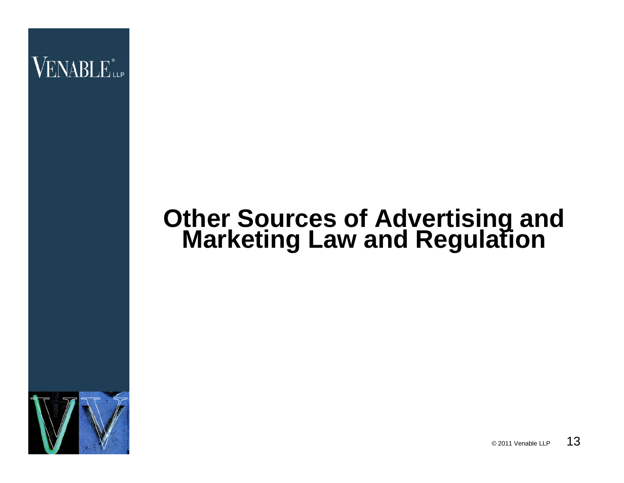## **Other Sources of Advertising and Marketing Law and Regulation**



 $\circ$  2011 Venable LLP 13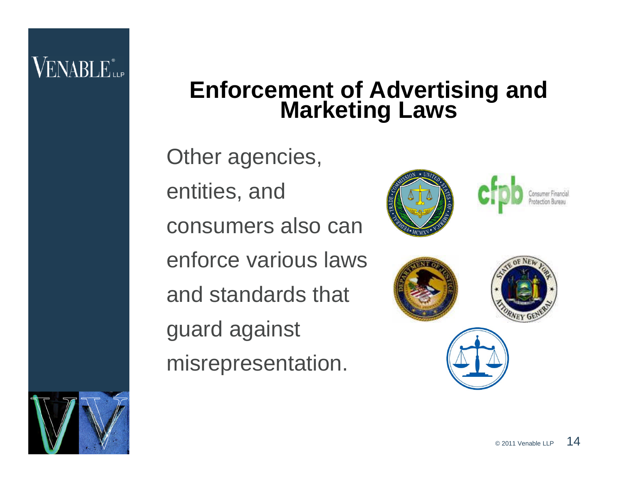## **Enforcement of Advertising and Marketing Laws**

Other agencies, entities, and consumers also can enforce various laws and standards that guard against misrepresentation.





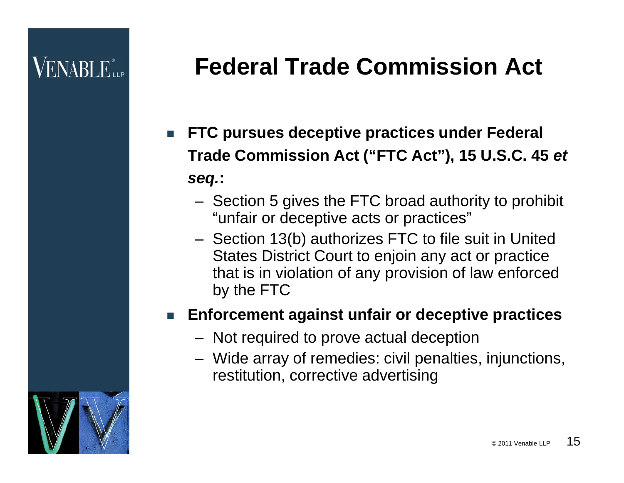# **Federal Trade Commission Act**

- **FTC pursues deceptive practices under Federal Trade Commission Act ("FTC Act"), 15 U.S.C. 45** *et seq.***:**
	- Section 5 gives the FTC broad authority to prohibit "unfair or deceptive acts or practices"
	- Section 13(b) authorizes FTC to file suit in United States District Court to enjoin any act or practice that is in violation of any provision of law enforced by the FTC

#### **Enforcement against unfair or deceptive practices**

- Not required to prove actual deception
- Wide array of remedies: civil penalties, injunctions, restitution, corrective advertising

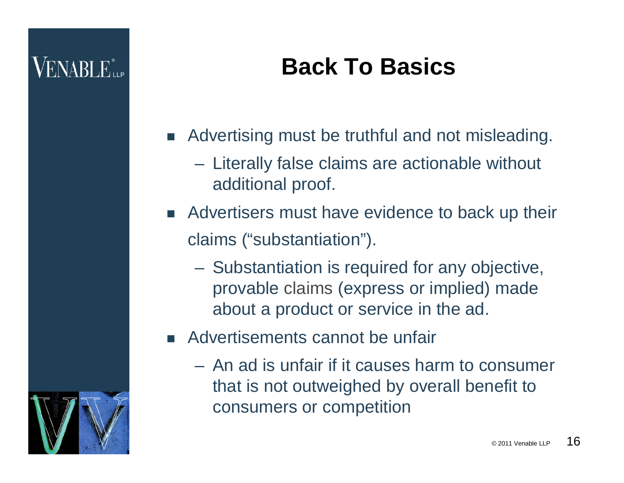# **Back To Basics**

- **Advertising must be truthful and not misleading.** 
	- Literally false claims are actionable without additional proof.
- Advertisers must have evidence to back up their claims ("substantiation").
	- Substantiation is required for any objective, provable claims (express or implied) made about a product or service in the ad.
- Advertisements cannot be unfair
	- An ad is unfair if it causes harm to consumer that is not outweighed by overall benefit to consumers or competition

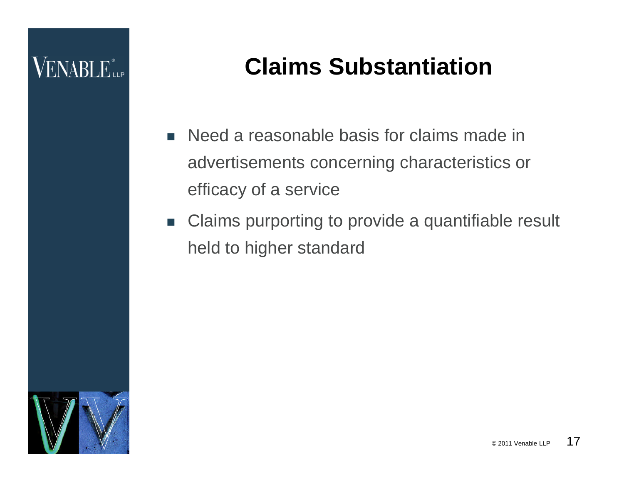# **VENABLE**

# **Claims Substantiation**

- Need a reasonable basis for claims made in advertisements concerning characteristics or efficacy of a service
- Claims purporting to provide a quantifiable result held to higher standard

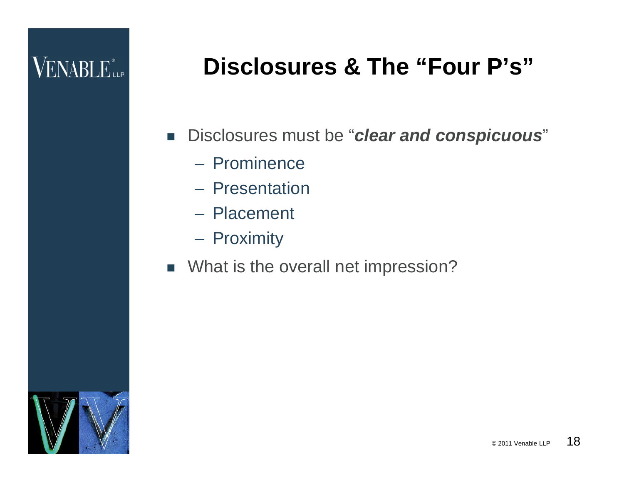## **Disclosures & The "Four P's"**

- Disclosures must be "*clear and conspicuous*"
	- Prominence
	- Presentation
	- Placement
	- Proximity
- **No. 3** What is the overall net impression?

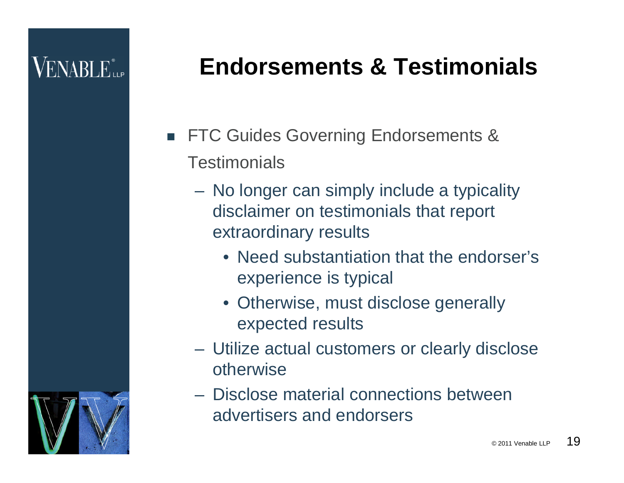# **VENABLE**

# **Endorsements & Testimonials**

- **FTC Guides Governing Endorsements & Testimonials** 
	- No longer can simply include a typicality disclaimer on testimonials that report extraordinary results
		- Need substantiation that the endorser's experience is typical
		- Otherwise, must disclose generally expected results
	- Utilize actual customers or clearly disclose otherwise
	- Disclose material connections between advertisers and endorsers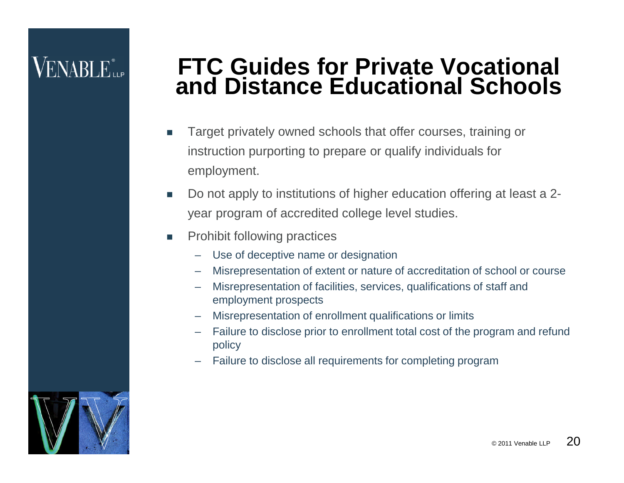## **FTC Guides for Private Vocational and Distance Educational Schools**

- Target privately owned schools that offer courses, training or instruction purporting to prepare or qualify individuals for employment.
- Do not apply to institutions of higher education offering at least a 2 year program of accredited college level studies.
- **Prohibit following practices** 
	- Use of deceptive name or designation
	- Misrepresentation of extent or nature of accreditation of school or course
	- Misrepresentation of facilities, services, qualifications of staff and employment prospects
	- Misrepresentation of enrollment qualifications or limits
	- Failure to disclose prior to enrollment total cost of the program and refund policy
	- Failure to disclose all requirements for completing program

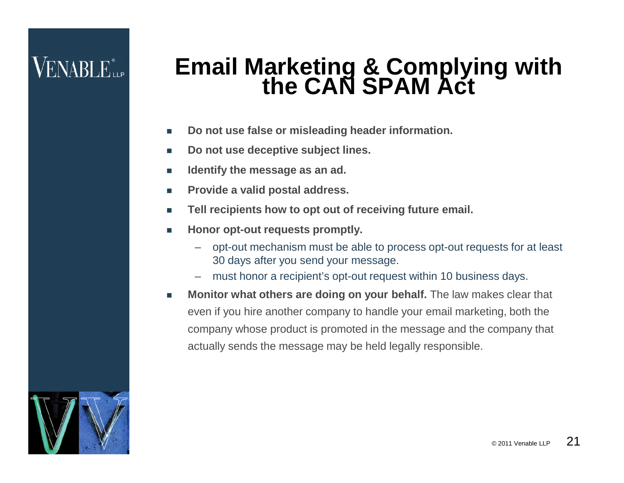## **Email Marketing & Complying with the CAN SPAM Act**

- **Do not use false or misleading header information.**
- Do not use deceptive subject lines.
- **IDENTIFY THE MESSAGE AS AN ADDENTIFY**
- **Provide a valid postal address.**
- **Tell recipients how to opt out of receiving future email.**
- **Honor opt-out requests promptly.** 
	- opt-out mechanism must be able to process opt-out requests for at least 30 days after you send your message.
	- must honor a recipient's opt-out request within 10 business days.
- **Monitor what others are doing on your behalf.** The law makes clear that even if you hire another company to handle your email marketing, both the company whose product is promoted in the message and the company that actually sends the message may be held legally responsible.

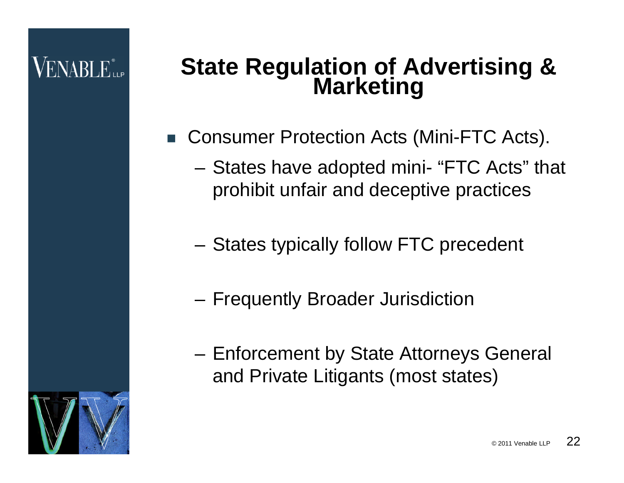# **VENABLE**

## **State Regulation of Advertising & Marketing**

- Consumer Protection Acts (Mini-FTC Acts).
	- States have adopted mini- "FTC Acts" that prohibit unfair and deceptive practices
	- States typically follow FTC precedent
	- Frequently Broader Jurisdiction
	- Enforcement by State Attorneys General and Private Litigants (most states)

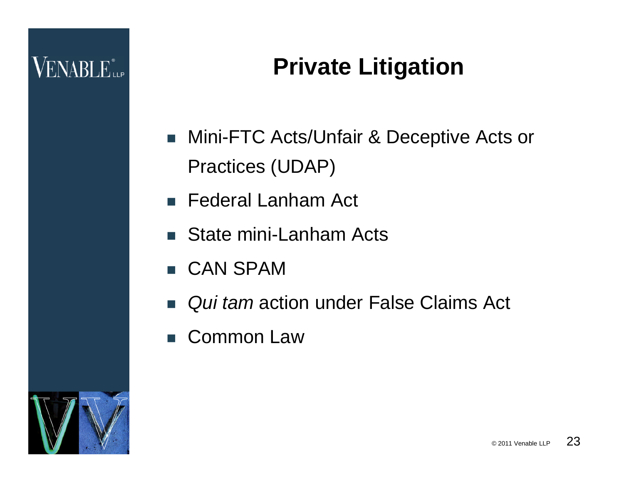# **Private Litigation**

- Mini-FTC Acts/Unfair & Deceptive Acts or Practices (UDAP)
- **Federal Lanham Act**
- State mini-Lanham Acts
- CAN SPAM
- *Qui tam* action under False Claims Act
- Common Law

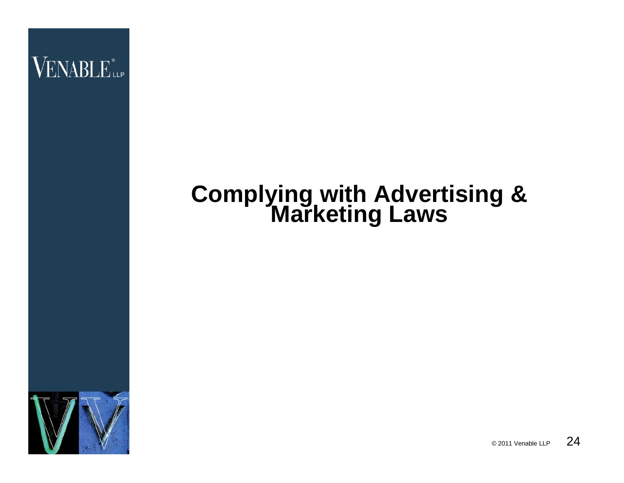

### **Complying with Advertising & Marketing Laws**



 $\circ$  2011 Venable LLP 24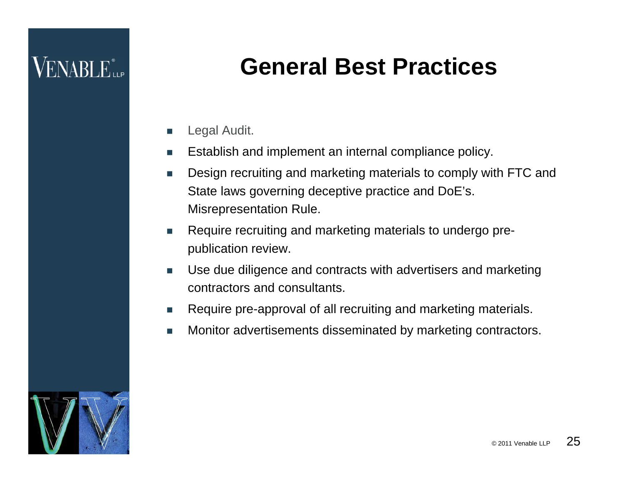## **General Best Practices**

- Legal Audit.
- Establish and implement an internal compliance policy.
- Design recruiting and marketing materials to comply with FTC and State laws governing deceptive practice and DoE's. Misrepresentation Rule.
- **Require recruiting and marketing materials to undergo pre**publication review.
- Use due diligence and contracts with advertisers and marketing contractors and consultants.
- Require pre-approval of all recruiting and marketing materials.
- Monitor advertisements disseminated by marketing contractors.

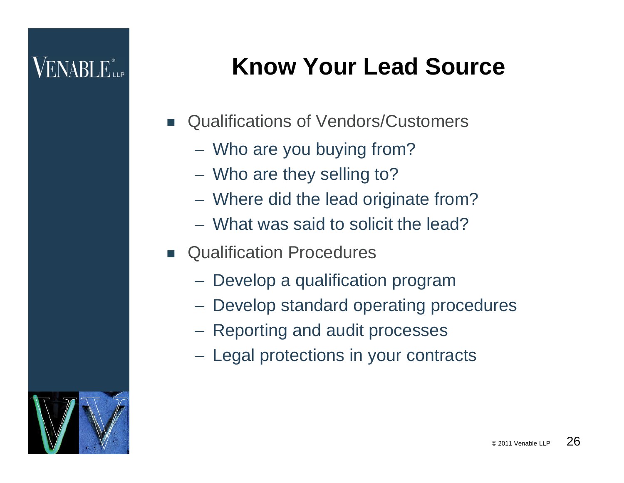# **Know Your Lead Source**

- Qualifications of Vendors/Customers
	- Who are you buying from?
	- Who are they selling to?
	- Where did the lead originate from?
	- What was said to solicit the lead?
- **E** Qualification Procedures
	- Develop a qualification program
	- Develop standard operating procedures
	- Reporting and audit processes
	- Legal protections in your contracts

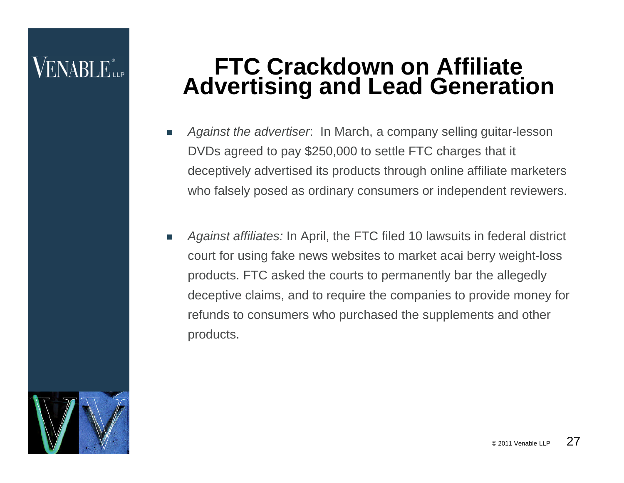## **FTC Crackdown on Affiliate Advertising and Lead Generation**

- *Against the advertiser*: In March, a company selling guitar-lesson DVDs agreed to pay \$250,000 to settle FTC charges that it deceptively advertised its products through online affiliate marketers who falsely posed as ordinary consumers or independent reviewers.
- *Against affiliates:* In April, the FTC filed 10 lawsuits in federal district court for using fake news websites to market acai berry weight-loss products. FTC asked the courts to permanently bar the allegedly deceptive claims, and to require the companies to provide money for refunds to consumers who purchased the supplements and other products.

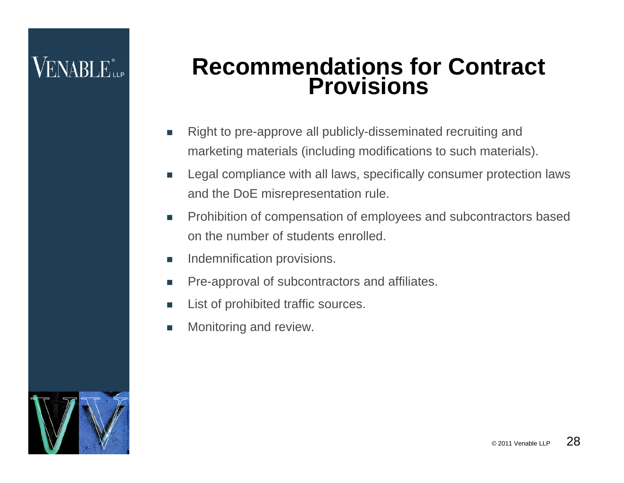#### **Recommendations for Contract Provisions**

- Right to pre-approve all publicly-disseminated recruiting and marketing materials (including modifications to such materials).
- **EXECTE Legal compliance with all laws, specifically consumer protection laws** and the DoE misrepresentation rule.
- Prohibition of compensation of employees and subcontractors based on the number of students enrolled.
- **Indemnification provisions.**
- **Pre-approval of subcontractors and affiliates.**
- List of prohibited traffic sources.
- **Monitoring and review.**

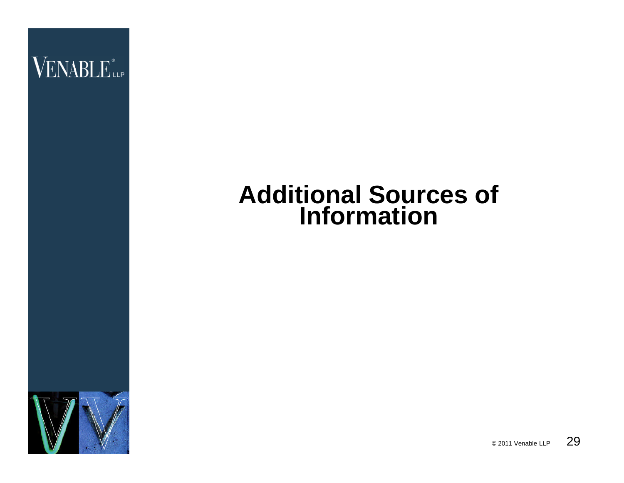

## **Additional Sources of Information**



© 2011 Venable LLP 29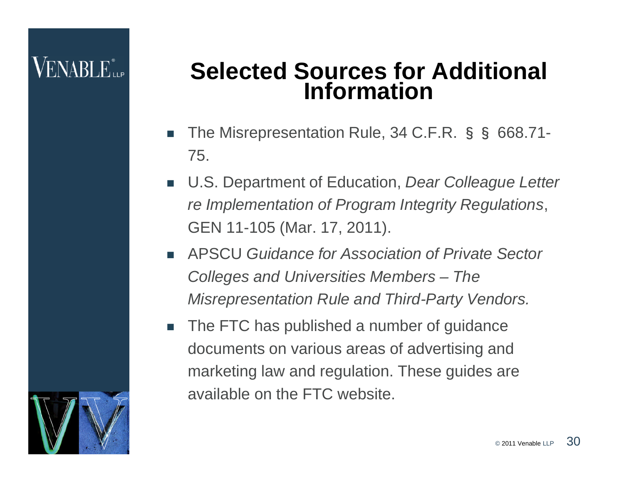## **Selected Sources for Additional Information**

- The Misrepresentation Rule, 34 C.F.R. §§ 668.71- 75.
- U.S. Department of Education, *Dear Colleague Letter re Implementation of Program Integrity Regulations*, GEN 11-105 (Mar. 17, 2011).
- APSCU *Guidance for Association of Private Sector Colleges and Universities Members – The Misrepresentation Rule and Third-Party Vendors.*
- The FTC has published a number of guidance documents on various areas of advertising and marketing law and regulation. These guides are available on the FTC website.